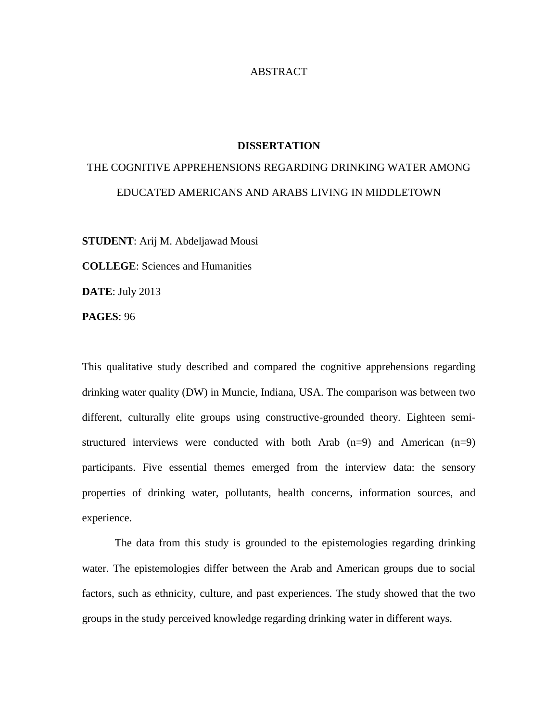## ABSTRACT

## **DISSERTATION**

## THE COGNITIVE APPREHENSIONS REGARDING DRINKING WATER AMONG EDUCATED AMERICANS AND ARABS LIVING IN MIDDLETOWN

**STUDENT**: Arij M. Abdeljawad Mousi

**COLLEGE**: Sciences and Humanities

**DATE**: July 2013

**PAGES**: 96

This qualitative study described and compared the cognitive apprehensions regarding drinking water quality (DW) in Muncie, Indiana, USA. The comparison was between two different, culturally elite groups using constructive-grounded theory. Eighteen semistructured interviews were conducted with both Arab  $(n=9)$  and American  $(n=9)$ participants. Five essential themes emerged from the interview data: the sensory properties of drinking water, pollutants, health concerns, information sources, and experience.

The data from this study is grounded to the epistemologies regarding drinking water. The epistemologies differ between the Arab and American groups due to social factors, such as ethnicity, culture, and past experiences. The study showed that the two groups in the study perceived knowledge regarding drinking water in different ways.